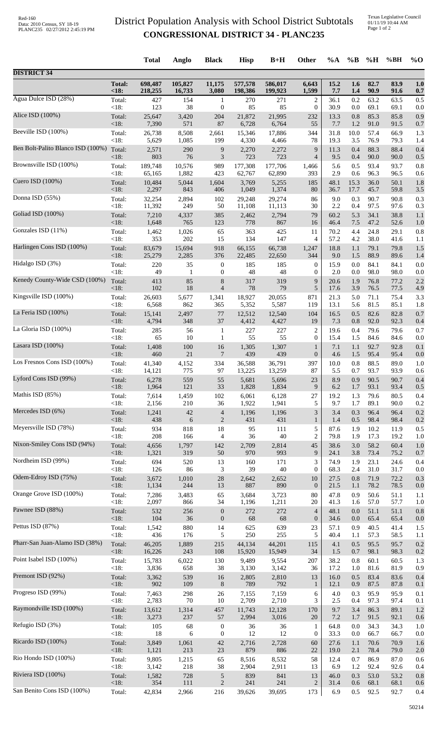## District Population Analysis with School District Subtotals **CONGRESSIONAL DISTRICT 34 - PLANC235**

Texas Legislative Council 01/11/19 10:44 AM Page 1 of 2

|                                   |                 | <b>Total</b>    | Anglo        | <b>Black</b>         | <b>Hisp</b>     | $B+H$           | <b>Other</b>        | %A         | $\%$ B     | %H           | %BH          | $\%$ O     |
|-----------------------------------|-----------------|-----------------|--------------|----------------------|-----------------|-----------------|---------------------|------------|------------|--------------|--------------|------------|
| <b>DISTRICT 34</b>                |                 |                 |              |                      |                 |                 |                     |            |            |              |              |            |
|                                   | <b>Total:</b>   | 698,487         | 105,827      | 11,175               | 577,578         | 586,017         | 6,643               | 15.2       | 1.6        | 82.7         | 83.9         | 1.0        |
|                                   | <18:            | 218,255         | 16,733       | 3,080                | 198,386         | 199,923         | 1,599               | 7.7        | 1.4        | 90.9         | 91.6         | 0.7        |
| Agua Dulce ISD (28%)              | Total:          | 427             | 154          | $\mathbf{1}$         | 270             | 271             | $\overline{c}$      | 36.1       | 0.2        | 63.2         | 63.5         | 0.5        |
|                                   | < 18:           | 123             | 38           | $\boldsymbol{0}$     | 85              | 85              | $\boldsymbol{0}$    | 30.9       | 0.0        | 69.1         | 69.1         | 0.0        |
| Alice ISD (100%)                  | Total:          | 25,647          | 3,420        | 204                  | 21,872          | 21,995          | 232                 | 13.3       | 0.8        | 85.3         | 85.8         | 0.9        |
| Beeville ISD (100%)               | < 18:           | 7,390           | 571          | 87                   | 6,728           | 6,764           | 55                  | 7.7        | 1.2        | 91.0         | 91.5         | 0.7        |
|                                   | Total:          | 26,738          | 8,508        | 2,661                | 15,346          | 17,886          | 344                 | 31.8       | 10.0       | 57.4         | 66.9         | 1.3        |
| Ben Bolt-Palito Blanco ISD (100%) | < 18:           | 5,629           | 1,085        | 199                  | 4,330           | 4,466           | 78                  | 19.3       | 3.5        | 76.9         | 79.3         | 1.4        |
|                                   | Total:          | 2,571           | 290          | 9                    | 2,270           | 2,272           | 9                   | 11.3       | 0.4        | 88.3         | 88.4         | 0.4        |
| Brownsville ISD (100%)            | < 18:           | 803             | 76           | $\mathfrak{Z}$       | 723             | 723             | $\overline{4}$      | 9.5        | 0.4        | 90.0         | 90.0         | 0.5        |
|                                   | Total:          | 189,748         | 10,576       | 989                  | 177,308         | 177,706         | 1,466               | 5.6        | 0.5        | 93.4         | 93.7         | 0.8        |
| Cuero ISD (100%)                  | < 18:           | 65,165          | 1,882        | 423                  | 62,767          | 62,890          | 393                 | 2.9        | 0.6        | 96.3         | 96.5         | 0.6        |
|                                   | Total:          | 10,484          | 5,044        | 1,604                | 3,769           | 5,255           | 185                 | 48.1       | 15.3       | 36.0         | 50.1         | 1.8        |
|                                   | <18:            | 2,297           | 843          | 406                  | 1,049           | 1,374           | 80                  | 36.7       | 17.7       | 45.7         | 59.8         | 3.5        |
| Donna ISD (55%)                   | Total:          | 32,254          | 2,894        | 102                  | 29,248          | 29,274          | 86                  | 9.0        | 0.3        | 90.7         | 90.8         | 0.3        |
|                                   | $<18$ :         | 11,392          | 249          | 50                   | 11,108          | 11,113          | 30                  | 2.2        | 0.4        | 97.5         | 97.6         | 0.3        |
| Goliad ISD (100%)                 | Total:          | 7,210           | 4,337        | 385                  | 2,462           | 2,794           | 79                  | 60.2       | 5.3        | 34.1         | 38.8         | 1.1        |
|                                   | < 18:           | 1,648           | 765          | 123                  | 778             | 867             | 16                  | 46.4       | 7.5        | 47.2         | 52.6         | 1.0        |
| Gonzales ISD (11%)                | Total:          | 1,462           | 1,026        | 65                   | 363             | 425             | 11                  | 70.2       | 4.4        | 24.8         | 29.1         | 0.8        |
|                                   | < 18:           | 353             | 202          | 15                   | 134             | 147             | 4                   | 57.2       | 4.2        | 38.0         | 41.6         | 1.1        |
| Harlingen Cons ISD (100%)         | Total:          | 83,679          | 15,694       | 918                  | 66,155          | 66,738          | 1,247               | 18.8       | 1.1        | 79.1         | 79.8         | 1.5        |
|                                   | < 18:           | 25,279          | 2,285        | 376                  | 22,485          | 22,650          | 344                 | 9.0        | 1.5        | 88.9         | 89.6         | 1.4        |
| Hidalgo ISD (3%)                  | Total:          | 220             | 35           | $\boldsymbol{0}$     | 185             | 185             | $\boldsymbol{0}$    | 15.9       | 0.0        | 84.1         | 84.1         | 0.0        |
| Kenedy County-Wide CSD (100%)     | < 18:           | 49              | $\mathbf{1}$ | $\boldsymbol{0}$     | 48              | 48              | $\mathbf{0}$        | 2.0        | 0.0        | 98.0         | 98.0         | 0.0        |
|                                   | Total:          | 413             | 85           | $\,8\,$              | 317             | 319             | 9                   | 20.6       | 1.9        | 76.8         | 77.2         | 2.2        |
| Kingsville ISD (100%)             | < 18:           | 102             | 18           | $\overline{4}$       | 78              | 79              | 5                   | 17.6       | 3.9        | 76.5         | 77.5         | 4.9        |
|                                   | Total:          | 26,603          | 5,677        | 1,341                | 18,927          | 20,055          | 871                 | 21.3       | 5.0        | 71.1         | 75.4         | 3.3        |
| La Feria ISD (100%)               | < 18:           | 6,568           | 862          | 365                  | 5,352           | 5,587           | 119                 | 13.1       | 5.6        | 81.5         | 85.1         | 1.8        |
|                                   | Total:          | 15,141          | 2,497        | 77                   | 12,512          | 12,540          | 104                 | 16.5       | 0.5        | 82.6         | 82.8         | 0.7        |
| La Gloria ISD (100%)              | < 18:           | 4,794           | 348          | 37                   | 4,412           | 4,427           | 19                  | 7.3        | 0.8        | 92.0         | 92.3         | 0.4        |
|                                   | Total:          | 285             | 56           | 1                    | 227             | 227             | $\overline{c}$      | 19.6       | 0.4        | 79.6         | 79.6         | 0.7        |
|                                   | < 18:           | 65              | 10           | 1                    | 55              | 55              | $\boldsymbol{0}$    | 15.4       | 1.5        | 84.6         | 84.6         | 0.0        |
| Lasara ISD (100%)                 | Total:          | 1,408           | 100          | 16                   | 1,305           | 1,307           | $\mathbf{1}$        | 7.1        | 1.1        | 92.7         | 92.8         | 0.1        |
|                                   | <18:            | 460             | $21\,$       | 7                    | 439             | 439             | $\boldsymbol{0}$    | 4.6        | 1.5        | 95.4         | 95.4         | 0.0        |
| Los Fresnos Cons ISD (100%)       | Total:          | 41,340          | 4,152        | 334                  | 36,588          | 36,791          | 397                 | 10.0       | 0.8        | 88.5         | 89.0         | 1.0        |
|                                   | $<18$ :         | 14,121          | 775          | 97                   | 13,225          | 13,259          | 87                  | 5.5        | 0.7        | 93.7         | 93.9         | 0.6        |
| Lyford Cons ISD (99%)             | Total:          | 6,278           | 559          | 55                   | 5,681           | 5,696           | 23                  | 8.9        | 0.9        | 90.5         | 90.7         | 0.4        |
|                                   | < 18:           | 1,964           | 121          | 33                   | 1,828           | 1,834           | 9                   | 6.2        | 1.7        | 93.1         | 93.4         | 0.5        |
| Mathis ISD (85%)                  | Total:          | 7,614           | 1,459        | 102                  | 6,061           | 6,128           | 27                  | 19.2       | 1.3        | 79.6<br>89.1 | 80.5         | 0.4        |
| Mercedes ISD (6%)                 | < 18:<br>Total: | 2,156<br>1,241  | 210<br>42    | 36<br>$\overline{4}$ | 1,922<br>1,196  | 1,941<br>1,196  | 5<br>$\mathfrak{Z}$ | 9.7<br>3.4 | 1.7<br>0.3 | 96.4         | 90.0<br>96.4 | 0.2<br>0.2 |
| Meyersville ISD (78%)             | < 18:           | 438             | 6            | $\mathbf{2}$         | 431             | 431             | $\mathbf{1}$        | 1.4        | 0.5        | 98.4         | 98.4         | 0.2        |
|                                   | Total:          | 934             | 818          | 18                   | 95              | 111             | 5                   | 87.6       | 1.9        | 10.2         | 11.9         | 0.5        |
| Nixon-Smiley Cons ISD (94%)       | < 18:           | 208             | 166          | 4                    | 36              | 40              | $\mathbf{2}$        | 79.8       | 1.9        | 17.3         | 19.2         | 1.0        |
|                                   | Total:          | 4,656           | 1,797        | 142                  | 2,709           | 2,814           | 45                  | 38.6       | 3.0        | 58.2         | 60.4         | 1.0        |
| Nordheim ISD (99%)                | < 18:           | 1,321           | 319          | 50                   | 970             | 993             | 9                   | 24.1       | 3.8        | 73.4         | 75.2         | 0.7        |
|                                   | Total:          | 694             | 520          | 13                   | 160             | 171             | 3                   | 74.9       | 1.9        | 23.1         | 24.6         | 0.4        |
| Odem-Edroy ISD (75%)              | < 18:           | 126             | 86           | 3                    | 39              | 40              | $\boldsymbol{0}$    | 68.3       | 2.4        | 31.0         | 31.7         | 0.0        |
|                                   | Total:          | 3,672           | 1,010        | $28\,$               | 2,642           | 2,652           | 10                  | 27.5       | 0.8        | 71.9         | 72.2         | 0.3        |
|                                   | <18:            | 1,134           | 244          | 13                   | 887             | 890             | $\mathbf{0}$        | 21.5       | 1.1        | 78.2         | 78.5         | 0.0        |
| Orange Grove ISD (100%)           | Total:          | 7,286           | 3,483        | 65                   | 3,684           | 3,723           | 80                  | 47.8       | 0.9        | 50.6         | 51.1         | 1.1        |
|                                   | < 18:           | 2,097           | 866          | 34                   | 1,196           | 1,211           | 20                  | 41.3       | 1.6        | 57.0         | 57.7         | 1.0        |
| Pawnee ISD (88%)                  | Total:          | 532             | 256          | $\boldsymbol{0}$     | 272             | 272             | $\overline{4}$      | 48.1       | 0.0        | 51.1         | 51.1         | 0.8        |
|                                   | $<18$ :         | 104             | 36           | $\boldsymbol{0}$     | 68              | 68              | $\boldsymbol{0}$    | 34.6       | 0.0        | 65.4         | 65.4         | 0.0        |
| Pettus ISD (87%)                  | Total:          | 1,542           | 880          | 14                   | 625             | 639             | 23                  | 57.1       | 0.9        | 40.5         | 41.4         | 1.5        |
|                                   | < 18:           | 436             | 176          | 5                    | 250             | 255             | 5                   | 40.4       | 1.1        | 57.3         | 58.5         | 1.1        |
| Pharr-San Juan-Alamo ISD (38%)    | Total:          | 46,205          | 1,889        | 215                  | 44,134          | 44,201          | 115                 | 4.1        | 0.5        | 95.5         | 95.7         | 0.2        |
| Point Isabel ISD (100%)           | < 18:           | 16,226          | 243          | 108                  | 15,920          | 15,949          | 34                  | 1.5        | 0.7        | 98.1         | 98.3         | 0.2        |
|                                   | Total:          | 15,783          | 6,022        | 130                  | 9,489           | 9,554           | 207                 | 38.2       | 0.8        | 60.1         | 60.5         | 1.3        |
| Premont ISD (92%)                 | < 18:           | 3,836           | 658          | 38                   | 3,130           | 3,142           | 36                  | 17.2       | 1.0        | 81.6         | 81.9         | 0.9        |
|                                   | Total:          | 3,362           | 539          | 16                   | 2,805           | 2,810           | 13                  | 16.0       | 0.5        | 83.4         | 83.6         | 0.4        |
| Progreso ISD (99%)                | < 18:           | 902             | 109          | $8\,$                | 789             | 792             | $\mathbf{1}$        | 12.1       | 0.9        | 87.5         | 87.8         | 0.1        |
|                                   | Total:          | 7,463           | 298          | 26                   | 7,155           | 7,159           | 6                   | 4.0        | 0.3        | 95.9         | 95.9         | 0.1        |
| Raymondville ISD (100%)           | < 18:           | 2,783           | 70           | 10<br>457            | 2,709           | 2,710           | 3                   | 2.5<br>9.7 | 0.4        | 97.3<br>86.3 | 97.4         | 0.1        |
|                                   | Total:<br><18:  | 13,612<br>3,273 | 1,314<br>237 | 57                   | 11,743<br>2,994 | 12,128<br>3,016 | 170<br>20           | 7.2        | 3.4<br>1.7 | 91.5         | 89.1<br>92.1 | 1.2<br>0.6 |
| Refugio ISD (3%)                  | Total:          | 105             | 68           | $\boldsymbol{0}$     | 36              | 36              | 1                   | 64.8       | 0.0        | 34.3         | 34.3         | 1.0        |
|                                   | < 18:           | 18              | 6            | $\boldsymbol{0}$     | 12              | 12              | $\boldsymbol{0}$    | 33.3       | 0.0        | 66.7         | 66.7         | 0.0        |
| Ricardo ISD (100%)                | Total:          | 3,849           | 1,061        | $42\,$               | 2,716           | 2,728           | 60                  | 27.6       | 1.1        | 70.6         | 70.9         | 1.6        |
|                                   | < 18:           | 1,121           | 213          | 23                   | 879             | 886             | 22                  | 19.0       | 2.1        | 78.4         | 79.0         | 2.0        |
| Rio Hondo ISD (100%)              | Total:          | 9,805           | 1,215        | 65                   | 8,516           | 8,532           | 58                  | 12.4       | 0.7        | 86.9         | 87.0         | 0.6        |
|                                   | < 18:           | 3,142           | 218          | $38\,$               | 2,904           | 2,911           | 13                  | 6.9        | 1.2        | 92.4         | 92.6         | 0.4        |
| Riviera ISD (100%)                | Total:          | 1,582           | 728          | $\sqrt{5}$           | 839             | 841             | 13                  | 46.0       | 0.3        | 53.0         | 53.2         | 0.8        |
|                                   | <18:            | 354             | 111          | $\sqrt{2}$           | 241             | 241             | $\mathbf{2}$        | 31.4       | 0.6        | 68.1         | 68.1         | 0.6        |
| San Benito Cons ISD (100%)        | Total:          | 42,834          | 2,966        | 216                  | 39,626          | 39,695          | 173                 | 6.9        | 0.5        | 92.5         | 92.7         | 0.4        |